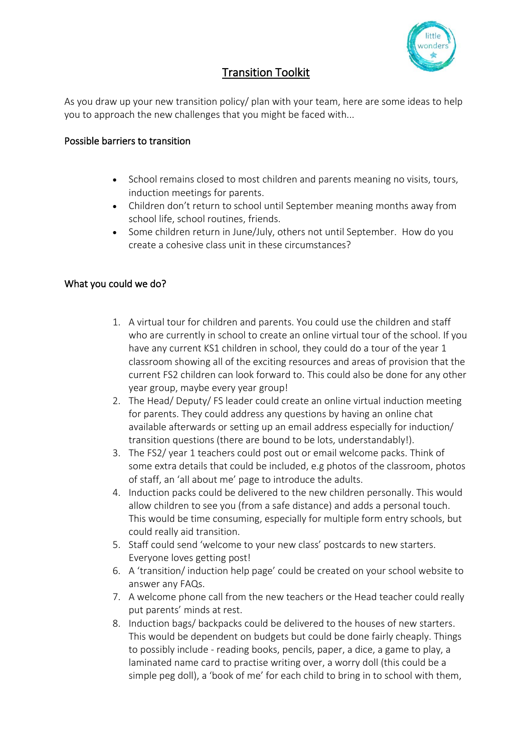

## Transition Toolkit

As you draw up your new transition policy/ plan with your team, here are some ideas to help you to approach the new challenges that you might be faced with...

## Possible barriers to transition

- School remains closed to most children and parents meaning no visits, tours, induction meetings for parents.
- Children don't return to school until September meaning months away from school life, school routines, friends.
- Some children return in June/July, others not until September. How do you create a cohesive class unit in these circumstances?

## What you could we do?

- 1. A virtual tour for children and parents. You could use the children and staff who are currently in school to create an online virtual tour of the school. If you have any current KS1 children in school, they could do a tour of the year 1 classroom showing all of the exciting resources and areas of provision that the current FS2 children can look forward to. This could also be done for any other year group, maybe every year group!
- 2. The Head/ Deputy/ FS leader could create an online virtual induction meeting for parents. They could address any questions by having an online chat available afterwards or setting up an email address especially for induction/ transition questions (there are bound to be lots, understandably!).
- 3. The FS2/ year 1 teachers could post out or email welcome packs. Think of some extra details that could be included, e.g photos of the classroom, photos of staff, an 'all about me' page to introduce the adults.
- 4. Induction packs could be delivered to the new children personally. This would allow children to see you (from a safe distance) and adds a personal touch. This would be time consuming, especially for multiple form entry schools, but could really aid transition.
- 5. Staff could send 'welcome to your new class' postcards to new starters. Everyone loves getting post!
- 6. A 'transition/ induction help page' could be created on your school website to answer any FAQs.
- 7. A welcome phone call from the new teachers or the Head teacher could really put parents' minds at rest.
- 8. Induction bags/ backpacks could be delivered to the houses of new starters. This would be dependent on budgets but could be done fairly cheaply. Things to possibly include - reading books, pencils, paper, a dice, a game to play, a laminated name card to practise writing over, a worry doll (this could be a simple peg doll), a 'book of me' for each child to bring in to school with them,